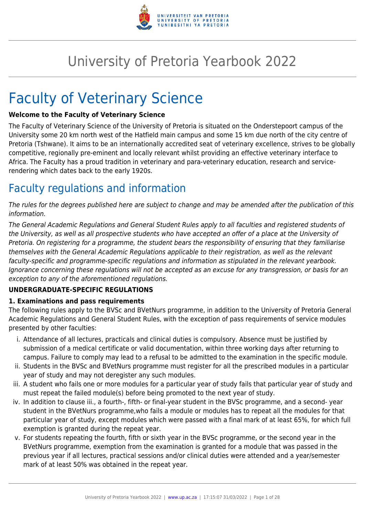

# University of Pretoria Yearbook 2022

# Faculty of Veterinary Science

# **Welcome to the Faculty of Veterinary Science**

The Faculty of Veterinary Science of the University of Pretoria is situated on the Onderstepoort campus of the University some 20 km north west of the Hatfield main campus and some 15 km due north of the city centre of Pretoria (Tshwane). It aims to be an internationally accredited seat of veterinary excellence, strives to be globally competitive, regionally pre-eminent and locally relevant whilst providing an effective veterinary interface to Africa. The Faculty has a proud tradition in veterinary and para-veterinary education, research and servicerendering which dates back to the early 1920s.

# Faculty regulations and information

The rules for the degrees published here are subject to change and may be amended after the publication of this information.

The General Academic Regulations and General Student Rules apply to all faculties and registered students of the University, as well as all prospective students who have accepted an offer of a place at the University of Pretoria. On registering for a programme, the student bears the responsibility of ensuring that they familiarise themselves with the General Academic Regulations applicable to their registration, as well as the relevant faculty-specific and programme-specific regulations and information as stipulated in the relevant yearbook. Ignorance concerning these regulations will not be accepted as an excuse for any transgression, or basis for an exception to any of the aforementioned regulations.

# **UNDERGRADUATE-SPECIFIC REGULATIONS**

# **1. Examinations and pass requirements**

The following rules apply to the BVSc and BVetNurs programme, in addition to the University of Pretoria General Academic Regulations and General Student Rules, with the exception of pass requirements of service modules presented by other faculties:

- i. Attendance of all lectures, practicals and clinical duties is compulsory. Absence must be justified by submission of a medical certificate or valid documentation, within three working days after returning to campus. Failure to comply may lead to a refusal to be admitted to the examination in the specific module.
- ii. Students in the BVSc and BVetNurs programme must register for all the prescribed modules in a particular year of study and may not deregister any such modules.
- iii. A student who fails one or more modules for a particular year of study fails that particular year of study and must repeat the failed module(s) before being promoted to the next year of study.
- iv. In addition to clause iii., a fourth-, fifth- or final-year student in the BVSc programme, and a second- year student in the BVetNurs programme,who fails a module or modules has to repeat all the modules for that particular year of study, except modules which were passed with a final mark of at least 65%, for which full exemption is granted during the repeat year.
- v. For students repeating the fourth, fifth or sixth year in the BVSc programme, or the second year in the BVetNurs programme, exemption from the examination is granted for a module that was passed in the previous year if all lectures, practical sessions and/or clinical duties were attended and a year/semester mark of at least 50% was obtained in the repeat year.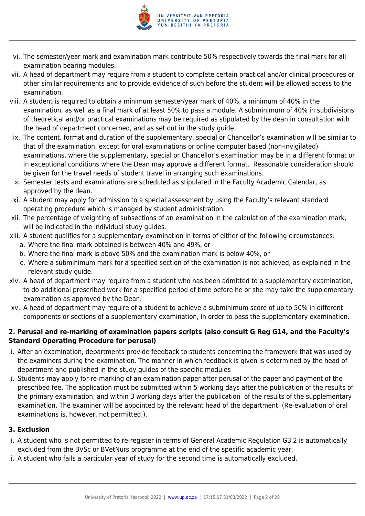

- vi. The semester/year mark and examination mark contribute 50% respectively towards the final mark for all examination bearing modules..
- vii. A head of department may require from a student to complete certain practical and/or clinical procedures or other similar requirements and to provide evidence of such before the student will be allowed access to the examination.
- viii. A student is required to obtain a minimum semester/year mark of 40%, a minimum of 40% in the examination, as well as a final mark of at least 50% to pass a module. A subminimum of 40% in subdivisions of theoretical and/or practical examinations may be required as stipulated by the dean in consultation with the head of department concerned, and as set out in the study guide.
- ix. The content, format and duration of the supplementary, special or Chancellor's examination will be similar to that of the examination, except for oral examinations or online computer based (non-invigilated) examinations, where the supplementary, special or Chancellor's examination may be in a different format or in exceptional conditions where the Dean may approve a different format. Reasonable consideration should be given for the travel needs of student travel in arranging such examinations.
- x. Semester tests and examinations are scheduled as stipulated in the Faculty Academic Calendar, as approved by the dean.
- xi. A student may apply for admission to a special assessment by using the Faculty's relevant standard operating procedure which is managed by student administration.
- xii. The percentage of weighting of subsections of an examination in the calculation of the examination mark, will be indicated in the individual study quides.
- xiii. A student qualifies for a supplementary examination in terms of either of the following circumstances: a. Where the final mark obtained is between 40% and 49%, or
	- b. Where the final mark is above 50% and the examination mark is below 40%, or
	- c. Where a subminimum mark for a specified section of the examination is not achieved, as explained in the relevant study guide.
- xiv. A head of department may require from a student who has been admitted to a supplementary examination, to do additional prescribed work for a specified period of time before he or she may take the supplementary examination as approved by the Dean.
- xv. A head of department may require of a student to achieve a subminimum score of up to 50% in different components or sections of a supplementary examination, in order to pass the supplementary examination.

# **2. Perusal and re-marking of examination papers scripts (also consult G Reg G14, and the Faculty's Standard Operating Procedure for perusal)**

- i. After an examination, departments provide feedback to students concerning the framework that was used by the examiners during the examination. The manner in which feedback is given is determined by the head of department and published in the study guides of the specific modules
- ii. Students may apply for re-marking of an examination paper after perusal of the paper and payment of the prescribed fee. The application must be submitted within 5 working days after the publication of the results of the primary examination, and within 3 working days after the publication of the results of the supplementary examination. The examiner will be appointed by the relevant head of the department. (Re-evaluation of oral examinations is, however, not permitted.).

# **3. Exclusion**

- i. A student who is not permitted to re-register in terms of General Academic Regulation G3.2 is automatically excluded from the BVSc or BVetNurs programme at the end of the specific academic year.
- ii. A student who fails a particular year of study for the second time is automatically excluded.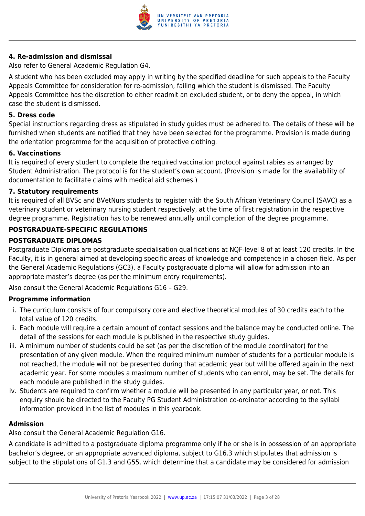

# **4. Re-admission and dismissal**

Also refer to General Academic Regulation G4.

A student who has been excluded may apply in writing by the specified deadline for such appeals to the Faculty Appeals Committee for consideration for re-admission, failing which the student is dismissed. The Faculty Appeals Committee has the discretion to either readmit an excluded student, or to deny the appeal, in which case the student is dismissed.

#### **5. Dress code**

Special instructions regarding dress as stipulated in study guides must be adhered to. The details of these will be furnished when students are notified that they have been selected for the programme. Provision is made during the orientation programme for the acquisition of protective clothing.

# **6. Vaccinations**

It is required of every student to complete the required vaccination protocol against rabies as arranged by Student Administration. The protocol is for the student's own account. (Provision is made for the availability of documentation to facilitate claims with medical aid schemes.)

#### **7. Statutory requirements**

It is required of all BVSc and BVetNurs students to register with the South African Veterinary Council (SAVC) as a veterinary student or veterinary nursing student respectively, at the time of first registration in the respective degree programme. Registration has to be renewed annually until completion of the degree programme.

# **POSTGRADUATE-SPECIFIC REGULATIONS**

# **POSTGRADUATE DIPLOMAS**

Postgraduate Diplomas are postgraduate specialisation qualifications at NQF-level 8 of at least 120 credits. In the Faculty, it is in general aimed at developing specific areas of knowledge and competence in a chosen field. As per the General Academic Regulations (GC3), a Faculty postgraduate diploma will allow for admission into an appropriate master's degree (as per the minimum entry requirements).

Also consult the General Academic Regulations G16 – G29.

# **Programme information**

- i. The curriculum consists of four compulsory core and elective theoretical modules of 30 credits each to the total value of 120 credits.
- ii. Each module will require a certain amount of contact sessions and the balance may be conducted online. The detail of the sessions for each module is published in the respective study guides.
- iii. A minimum number of students could be set (as per the discretion of the module coordinator) for the presentation of any given module. When the required minimum number of students for a particular module is not reached, the module will not be presented during that academic year but will be offered again in the next academic year. For some modules a maximum number of students who can enrol, may be set. The details for each module are published in the study guides.
- iv. Students are required to confirm whether a module will be presented in any particular year, or not. This enquiry should be directed to the Faculty PG Student Administration co-ordinator according to the syllabi information provided in the list of modules in this yearbook.

# **Admission**

Also consult the General Academic Regulation G16.

A candidate is admitted to a postgraduate diploma programme only if he or she is in possession of an appropriate bachelor's degree, or an appropriate advanced diploma, subject to G16.3 which stipulates that admission is subject to the stipulations of G1.3 and G55, which determine that a candidate may be considered for admission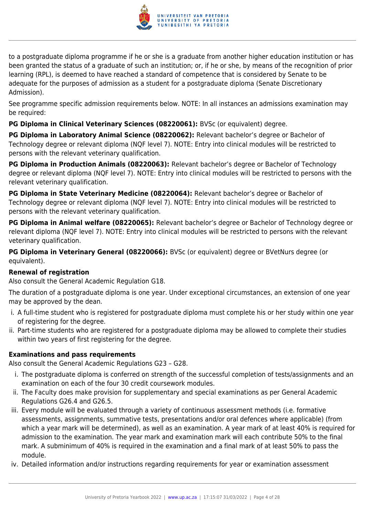

to a postgraduate diploma programme if he or she is a graduate from another higher education institution or has been granted the status of a graduate of such an institution; or, if he or she, by means of the recognition of prior learning (RPL), is deemed to have reached a standard of competence that is considered by Senate to be adequate for the purposes of admission as a student for a postgraduate diploma (Senate Discretionary Admission).

See programme specific admission requirements below. NOTE: In all instances an admissions examination may be required:

**PG Diploma in Clinical Veterinary Sciences (08220061):** BVSc (or equivalent) degree.

**PG Diploma in Laboratory Animal Science (08220062):** Relevant bachelor's degree or Bachelor of Technology degree or relevant diploma (NQF level 7). NOTE: Entry into clinical modules will be restricted to persons with the relevant veterinary qualification.

**PG Diploma in Production Animals (08220063):** Relevant bachelor's degree or Bachelor of Technology degree or relevant diploma (NQF level 7). NOTE: Entry into clinical modules will be restricted to persons with the relevant veterinary qualification.

**PG Diploma in State Veterinary Medicine (08220064):** Relevant bachelor's degree or Bachelor of Technology degree or relevant diploma (NQF level 7). NOTE: Entry into clinical modules will be restricted to persons with the relevant veterinary qualification.

**PG Diploma in Animal welfare (08220065):** Relevant bachelor's degree or Bachelor of Technology degree or relevant diploma (NQF level 7). NOTE: Entry into clinical modules will be restricted to persons with the relevant veterinary qualification.

**PG Diploma in Veterinary General (08220066):** BVSc (or equivalent) degree or BVetNurs degree (or equivalent).

# **Renewal of registration**

Also consult the General Academic Regulation G18.

The duration of a postgraduate diploma is one year. Under exceptional circumstances, an extension of one year may be approved by the dean.

- i. A full-time student who is registered for postgraduate diploma must complete his or her study within one year of registering for the degree.
- ii. Part-time students who are registered for a postgraduate diploma may be allowed to complete their studies within two years of first registering for the degree.

# **Examinations and pass requirements**

Also consult the General Academic Regulations G23 – G28.

- i. The postgraduate diploma is conferred on strength of the successful completion of tests/assignments and an examination on each of the four 30 credit coursework modules.
- ii. The Faculty does make provision for supplementary and special examinations as per General Academic Regulations G26.4 and G26.5.
- iii. Every module will be evaluated through a variety of continuous assessment methods (i.e. formative assessments, assignments, summative tests, presentations and/or oral defences where applicable) (from which a year mark will be determined), as well as an examination. A year mark of at least 40% is required for admission to the examination. The year mark and examination mark will each contribute 50% to the final mark. A subminimum of 40% is required in the examination and a final mark of at least 50% to pass the module.
- iv. Detailed information and/or instructions regarding requirements for year or examination assessment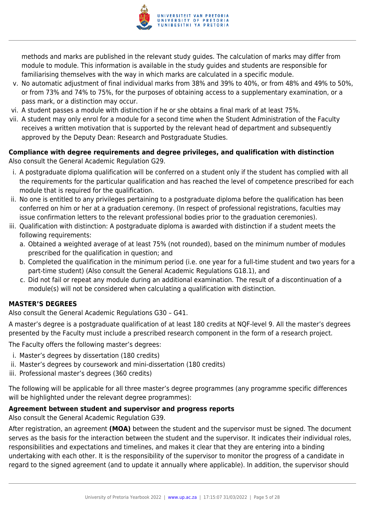

methods and marks are published in the relevant study guides. The calculation of marks may differ from module to module. This information is available in the study guides and students are responsible for familiarising themselves with the way in which marks are calculated in a specific module.

- v. No automatic adjustment of final individual marks from 38% and 39% to 40%, or from 48% and 49% to 50%, or from 73% and 74% to 75%, for the purposes of obtaining access to a supplementary examination, or a pass mark, or a distinction may occur.
- vi. A student passes a module with distinction if he or she obtains a final mark of at least 75%.
- vii. A student may only enrol for a module for a second time when the Student Administration of the Faculty receives a written motivation that is supported by the relevant head of department and subsequently approved by the Deputy Dean: Research and Postgraduate Studies.

# **Compliance with degree requirements and degree privileges, and qualification with distinction** Also consult the General Academic Regulation G29.

- i. A postgraduate diploma qualification will be conferred on a student only if the student has complied with all the requirements for the particular qualification and has reached the level of competence prescribed for each module that is required for the qualification.
- ii. No one is entitled to any privileges pertaining to a postgraduate diploma before the qualification has been conferred on him or her at a graduation ceremony. (In respect of professional registrations, faculties may issue confirmation letters to the relevant professional bodies prior to the graduation ceremonies).
- iii. Qualification with distinction: A postgraduate diploma is awarded with distinction if a student meets the following requirements:
	- a. Obtained a weighted average of at least 75% (not rounded), based on the minimum number of modules prescribed for the qualification in question; and
	- b. Completed the qualification in the minimum period (i.e. one year for a full-time student and two years for a part-time student) (Also consult the General Academic Regulations G18.1), and
	- c. Did not fail or repeat any module during an additional examination. The result of a discontinuation of a module(s) will not be considered when calculating a qualification with distinction.

# **MASTER'S DEGREES**

Also consult the General Academic Regulations G30 – G41.

A master's degree is a postgraduate qualification of at least 180 credits at NQF-level 9. All the master's degrees presented by the Faculty must include a prescribed research component in the form of a research project.

The Faculty offers the following master's degrees:

- i. Master's degrees by dissertation (180 credits)
- ii. Master's degrees by coursework and mini-dissertation (180 credits)
- iii. Professional master's degrees (360 credits)

The following will be applicable for all three master's degree programmes (any programme specific differences will be highlighted under the relevant degree programmes):

# **Agreement between student and supervisor and progress reports**

Also consult the General Academic Regulation G39.

After registration, an agreement **(MOA)** between the student and the supervisor must be signed. The document serves as the basis for the interaction between the student and the supervisor. It indicates their individual roles, responsibilities and expectations and timelines, and makes it clear that they are entering into a binding undertaking with each other. It is the responsibility of the supervisor to monitor the progress of a candidate in regard to the signed agreement (and to update it annually where applicable). In addition, the supervisor should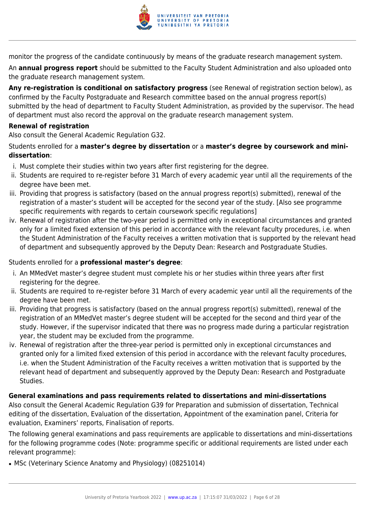

monitor the progress of the candidate continuously by means of the graduate research management system.

An **annual progress report** should be submitted to the Faculty Student Administration and also uploaded onto the graduate research management system.

**Any re-registration is conditional on satisfactory progress** (see Renewal of registration section below), as confirmed by the Faculty Postgraduate and Research committee based on the annual progress report(s) submitted by the head of department to Faculty Student Administration, as provided by the supervisor. The head of department must also record the approval on the graduate research management system.

# **Renewal of registration**

Also consult the General Academic Regulation G32.

# Students enrolled for a **master's degree by dissertation** or a **master's degree by coursework and minidissertation**:

- i. Must complete their studies within two years after first registering for the degree.
- ii. Students are required to re-register before 31 March of every academic year until all the requirements of the degree have been met.
- iii. Providing that progress is satisfactory (based on the annual progress report(s) submitted), renewal of the registration of a master's student will be accepted for the second year of the study. [Also see programme specific requirements with regards to certain coursework specific regulations]
- iv. Renewal of registration after the two-year period is permitted only in exceptional circumstances and granted only for a limited fixed extension of this period in accordance with the relevant faculty procedures, i.e. when the Student Administration of the Faculty receives a written motivation that is supported by the relevant head of department and subsequently approved by the Deputy Dean: Research and Postgraduate Studies.

# Students enrolled for a **professional master's degree**:

- i. An MMedVet master's degree student must complete his or her studies within three years after first registering for the degree.
- ii. Students are required to re-register before 31 March of every academic year until all the requirements of the degree have been met.
- iii. Providing that progress is satisfactory (based on the annual progress report(s) submitted), renewal of the registration of an MMedVet master's degree student will be accepted for the second and third year of the study. However, if the supervisor indicated that there was no progress made during a particular registration year, the student may be excluded from the programme.
- iv. Renewal of registration after the three-year period is permitted only in exceptional circumstances and granted only for a limited fixed extension of this period in accordance with the relevant faculty procedures, i.e. when the Student Administration of the Faculty receives a written motivation that is supported by the relevant head of department and subsequently approved by the Deputy Dean: Research and Postgraduate Studies.

# **General examinations and pass requirements related to dissertations and mini-dissertations**

Also consult the General Academic Regulation G39 for Preparation and submission of dissertation, Technical editing of the dissertation, Evaluation of the dissertation, Appointment of the examination panel, Criteria for evaluation, Examiners' reports, Finalisation of reports.

The following general examinations and pass requirements are applicable to dissertations and mini-dissertations for the following programme codes (Note: programme specific or additional requirements are listed under each relevant programme):

• MSc (Veterinary Science Anatomy and Physiology) (08251014)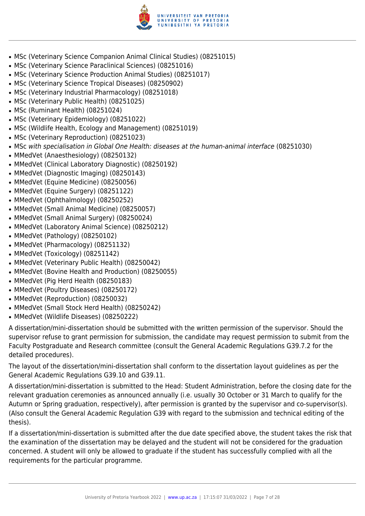

- MSc (Veterinary Science Companion Animal Clinical Studies) (08251015)
- MSc (Veterinary Science Paraclinical Sciences) (08251016)
- MSc (Veterinary Science Production Animal Studies) (08251017)
- MSc (Veterinary Science Tropical Diseases) (08250902)
- MSc (Veterinary Industrial Pharmacology) (08251018)
- MSc (Veterinary Public Health) (08251025)
- MSc (Ruminant Health) (08251024)
- MSc (Veterinary Epidemiology) (08251022)
- MSc (Wildlife Health, Ecology and Management) (08251019)
- MSc (Veterinary Reproduction) (08251023)
- MSc with specialisation in Global One Health: diseases at the human-animal interface (08251030)
- MMedVet (Anaesthesiology) (08250132)
- MMedVet (Clinical Laboratory Diagnostic) (08250192)
- MMedVet (Diagnostic Imaging) (08250143)
- MMedVet (Equine Medicine) (08250056)
- MMedVet (Equine Surgery) (08251122)
- MMedVet (Ophthalmology) (08250252)
- MMedVet (Small Animal Medicine) (08250057)
- MMedVet (Small Animal Surgery) (08250024)
- MMedVet (Laboratory Animal Science) (08250212)
- MMedVet (Pathology) (08250102)
- MMedVet (Pharmacology) (08251132)
- MMedVet (Toxicology) (08251142)
- MMedVet (Veterinary Public Health) (08250042)
- MMedVet (Bovine Health and Production) (08250055)
- MMedVet (Pig Herd Health (08250183)
- MMedVet (Poultry Diseases) (08250172)
- MMedVet (Reproduction) (08250032)
- MMedVet (Small Stock Herd Health) (08250242)
- MMedVet (Wildlife Diseases) (08250222)

A dissertation/mini-dissertation should be submitted with the written permission of the supervisor. Should the supervisor refuse to grant permission for submission, the candidate may request permission to submit from the Faculty Postgraduate and Research committee (consult the General Academic Regulations G39.7.2 for the detailed procedures).

The layout of the dissertation/mini-dissertation shall conform to the dissertation layout guidelines as per the General Academic Regulations G39.10 and G39.11.

A dissertation/mini-dissertation is submitted to the Head: Student Administration, before the closing date for the relevant graduation ceremonies as announced annually (i.e. usually 30 October or 31 March to qualify for the Autumn or Spring graduation, respectively), after permission is granted by the supervisor and co-supervisor(s). (Also consult the General Academic Regulation G39 with regard to the submission and technical editing of the thesis).

If a dissertation/mini-dissertation is submitted after the due date specified above, the student takes the risk that the examination of the dissertation may be delayed and the student will not be considered for the graduation concerned. A student will only be allowed to graduate if the student has successfully complied with all the requirements for the particular programme.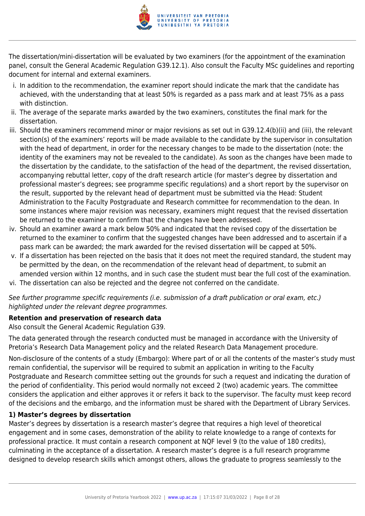

The dissertation/mini-dissertation will be evaluated by two examiners (for the appointment of the examination panel, consult the General Academic Regulation G39.12.1). Also consult the Faculty MSc guidelines and reporting document for internal and external examiners.

- i. In addition to the recommendation, the examiner report should indicate the mark that the candidate has achieved, with the understanding that at least 50% is regarded as a pass mark and at least 75% as a pass with distinction.
- ii. The average of the separate marks awarded by the two examiners, constitutes the final mark for the dissertation.
- iii. Should the examiners recommend minor or major revisions as set out in G39.12.4(b)(ii) and (iii), the relevant section(s) of the examiners' reports will be made available to the candidate by the supervisor in consultation with the head of department, in order for the necessary changes to be made to the dissertation (note: the identity of the examiners may not be revealed to the candidate). As soon as the changes have been made to the dissertation by the candidate, to the satisfaction of the head of the department, the revised dissertation, accompanying rebuttal letter, copy of the draft research article (for master's degree by dissertation and professional master's degrees; see programme specific regulations) and a short report by the supervisor on the result, supported by the relevant head of department must be submitted via the Head: Student Administration to the Faculty Postgraduate and Research committee for recommendation to the dean. In some instances where major revision was necessary, examiners might request that the revised dissertation be returned to the examiner to confirm that the changes have been addressed.
- iv. Should an examiner award a mark below 50% and indicated that the revised copy of the dissertation be returned to the examiner to confirm that the suggested changes have been addressed and to ascertain if a pass mark can be awarded; the mark awarded for the revised dissertation will be capped at 50%.
- v. If a dissertation has been rejected on the basis that it does not meet the required standard, the student may be permitted by the dean, on the recommendation of the relevant head of department, to submit an amended version within 12 months, and in such case the student must bear the full cost of the examination.
- vi. The dissertation can also be rejected and the degree not conferred on the candidate.

See further programme specific requirements (i.e. submission of a draft publication or oral exam, etc.) highlighted under the relevant degree programmes.

# **Retention and preservation of research data**

Also consult the General Academic Regulation G39.

The data generated through the research conducted must be managed in accordance with the University of Pretoria's Research Data Management policy and the related Research Data Management procedure.

Non-disclosure of the contents of a study (Embargo): Where part of or all the contents of the master's study must remain confidential, the supervisor will be required to submit an application in writing to the Faculty Postgraduate and Research committee setting out the grounds for such a request and indicating the duration of the period of confidentiality. This period would normally not exceed 2 (two) academic years. The committee considers the application and either approves it or refers it back to the supervisor. The faculty must keep record of the decisions and the embargo, and the information must be shared with the Department of Library Services.

# **1) Master's degrees by dissertation**

Master's degrees by dissertation is a research master's degree that requires a high level of theoretical engagement and in some cases, demonstration of the ability to relate knowledge to a range of contexts for professional practice. It must contain a research component at NQF level 9 (to the value of 180 credits), culminating in the acceptance of a dissertation. A research master's degree is a full research programme designed to develop research skills which amongst others, allows the graduate to progress seamlessly to the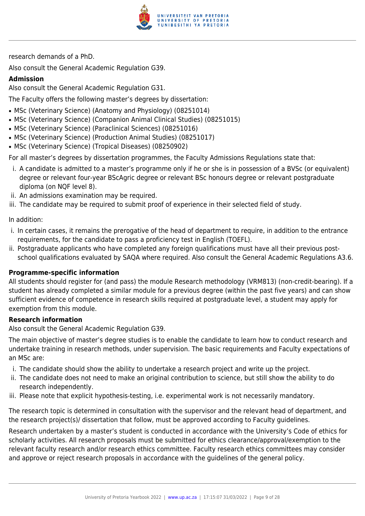

research demands of a PhD.

Also consult the General Academic Regulation G39.

# **Admission**

Also consult the General Academic Regulation G31.

The Faculty offers the following master's degrees by dissertation:

- MSc (Veterinary Science) (Anatomy and Physiology) (08251014)
- MSc (Veterinary Science) (Companion Animal Clinical Studies) (08251015)
- MSc (Veterinary Science) (Paraclinical Sciences) (08251016)
- MSc (Veterinary Science) (Production Animal Studies) (08251017)
- MSc (Veterinary Science) (Tropical Diseases) (08250902)

For all master's degrees by dissertation programmes, the Faculty Admissions Regulations state that:

- i. A candidate is admitted to a master's programme only if he or she is in possession of a BVSc (or equivalent) degree or relevant four-year BScAgric degree or relevant BSc honours degree or relevant postgraduate diploma (on NQF level 8).
- ii. An admissions examination may be required.
- iii. The candidate may be required to submit proof of experience in their selected field of study.

In addition:

- i. In certain cases, it remains the prerogative of the head of department to require, in addition to the entrance requirements, for the candidate to pass a proficiency test in English (TOEFL).
- ii. Postgraduate applicants who have completed any foreign qualifications must have all their previous postschool qualifications evaluated by SAQA where required. Also consult the General Academic Regulations A3.6.

# **Programme-specific information**

All students should register for (and pass) the module Research methodology (VRM813) (non-credit-bearing). If a student has already completed a similar module for a previous degree (within the past five years) and can show sufficient evidence of competence in research skills required at postgraduate level, a student may apply for exemption from this module.

#### **Research information**

Also consult the General Academic Regulation G39.

The main objective of master's degree studies is to enable the candidate to learn how to conduct research and undertake training in research methods, under supervision. The basic requirements and Faculty expectations of an MSc are:

- i. The candidate should show the ability to undertake a research project and write up the project.
- ii. The candidate does not need to make an original contribution to science, but still show the ability to do research independently.
- iii. Please note that explicit hypothesis-testing, i.e. experimental work is not necessarily mandatory.

The research topic is determined in consultation with the supervisor and the relevant head of department, and the research project(s)/ dissertation that follow, must be approved according to Faculty guidelines.

Research undertaken by a master's student is conducted in accordance with the University's Code of ethics for scholarly activities. All research proposals must be submitted for ethics clearance/approval/exemption to the relevant faculty research and/or research ethics committee. Faculty research ethics committees may consider and approve or reject research proposals in accordance with the guidelines of the general policy.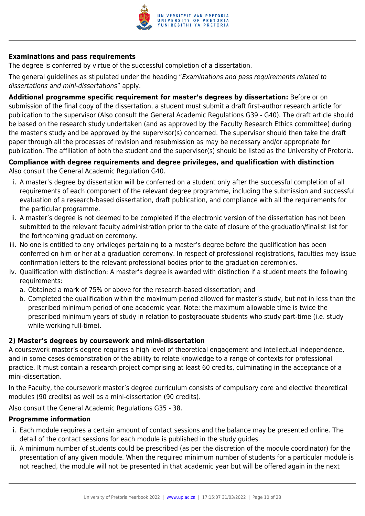

# **Examinations and pass requirements**

The degree is conferred by virtue of the successful completion of a dissertation.

The general guidelines as stipulated under the heading "Examinations and pass requirements related to dissertations and mini-dissertations" apply.

**Additional programme specific requirement for master's degrees by dissertation:** Before or on submission of the final copy of the dissertation, a student must submit a draft first-author research article for publication to the supervisor (Also consult the General Academic Regulations G39 - G40). The draft article should be based on the research study undertaken (and as approved by the Faculty Research Ethics committee) during the master's study and be approved by the supervisor(s) concerned. The supervisor should then take the draft paper through all the processes of revision and resubmission as may be necessary and/or appropriate for publication. The affiliation of both the student and the supervisor(s) should be listed as the University of Pretoria.

# **Compliance with degree requirements and degree privileges, and qualification with distinction** Also consult the General Academic Regulation G40.

- i. A master's degree by dissertation will be conferred on a student only after the successful completion of all requirements of each component of the relevant degree programme, including the submission and successful evaluation of a research-based dissertation, draft publication, and compliance with all the requirements for the particular programme.
- ii. A master's degree is not deemed to be completed if the electronic version of the dissertation has not been submitted to the relevant faculty administration prior to the date of closure of the graduation/finalist list for the forthcoming graduation ceremony.
- iii. No one is entitled to any privileges pertaining to a master's degree before the qualification has been conferred on him or her at a graduation ceremony. In respect of professional registrations, faculties may issue confirmation letters to the relevant professional bodies prior to the graduation ceremonies.
- iv. Qualification with distinction: A master's degree is awarded with distinction if a student meets the following requirements:
	- a. Obtained a mark of 75% or above for the research-based dissertation; and
	- b. Completed the qualification within the maximum period allowed for master's study, but not in less than the prescribed minimum period of one academic year. Note: the maximum allowable time is twice the prescribed minimum years of study in relation to postgraduate students who study part-time (i.e. study while working full-time).

# **2) Master's degrees by coursework and mini-dissertation**

A coursework master's degree requires a high level of theoretical engagement and intellectual independence, and in some cases demonstration of the ability to relate knowledge to a range of contexts for professional practice. It must contain a research project comprising at least 60 credits, culminating in the acceptance of a mini-dissertation.

In the Faculty, the coursework master's degree curriculum consists of compulsory core and elective theoretical modules (90 credits) as well as a mini-dissertation (90 credits).

Also consult the General Academic Regulations G35 - 38.

# **Programme information**

- i. Each module requires a certain amount of contact sessions and the balance may be presented online. The detail of the contact sessions for each module is published in the study guides.
- ii. A minimum number of students could be prescribed (as per the discretion of the module coordinator) for the presentation of any given module. When the required minimum number of students for a particular module is not reached, the module will not be presented in that academic year but will be offered again in the next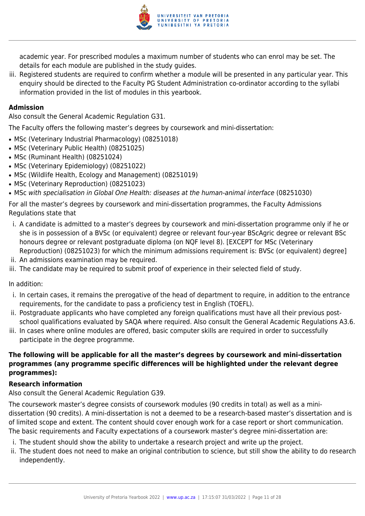

academic year. For prescribed modules a maximum number of students who can enrol may be set. The details for each module are published in the study guides.

iii. Registered students are required to confirm whether a module will be presented in any particular year. This enquiry should be directed to the Faculty PG Student Administration co-ordinator according to the syllabi information provided in the list of modules in this yearbook.

#### **Admission**

Also consult the General Academic Regulation G31.

The Faculty offers the following master's degrees by coursework and mini-dissertation:

- MSc (Veterinary Industrial Pharmacology) (08251018)
- MSc (Veterinary Public Health) (08251025)
- MSc (Ruminant Health) (08251024)
- MSc (Veterinary Epidemiology) (08251022)
- MSc (Wildlife Health, Ecology and Management) (08251019)
- MSc (Veterinary Reproduction) (08251023)
- MSc with specialisation in Global One Health: diseases at the human-animal interface (08251030)

For all the master's degrees by coursework and mini-dissertation programmes, the Faculty Admissions Regulations state that

- i. A candidate is admitted to a master's degrees by coursework and mini-dissertation programme only if he or she is in possession of a BVSc (or equivalent) degree or relevant four-year BScAgric degree or relevant BSc honours degree or relevant postgraduate diploma (on NQF level 8). [EXCEPT for MSc (Veterinary Reproduction) (08251023) for which the minimum admissions requirement is: BVSc (or equivalent) degree]
- ii. An admissions examination may be required.
- iii. The candidate may be required to submit proof of experience in their selected field of study.

In addition:

- i. In certain cases, it remains the prerogative of the head of department to require, in addition to the entrance requirements, for the candidate to pass a proficiency test in English (TOEFL).
- ii. Postgraduate applicants who have completed any foreign qualifications must have all their previous postschool qualifications evaluated by SAQA where required. Also consult the General Academic Regulations A3.6.
- iii. In cases where online modules are offered, basic computer skills are required in order to successfully participate in the degree programme.

# **The following will be applicable for all the master's degrees by coursework and mini-dissertation programmes (any programme specific differences will be highlighted under the relevant degree programmes):**

#### **Research information**

Also consult the General Academic Regulation G39.

The coursework master's degree consists of coursework modules (90 credits in total) as well as a minidissertation (90 credits). A mini-dissertation is not a deemed to be a research-based master's dissertation and is of limited scope and extent. The content should cover enough work for a case report or short communication. The basic requirements and Faculty expectations of a coursework master's degree mini-dissertation are:

- i. The student should show the ability to undertake a research project and write up the project.
- ii. The student does not need to make an original contribution to science, but still show the ability to do research independently.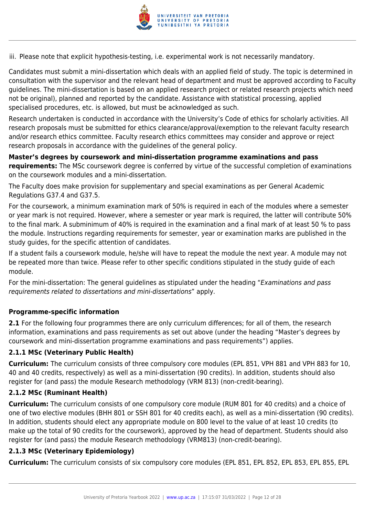

iii. Please note that explicit hypothesis-testing, i.e. experimental work is not necessarily mandatory.

Candidates must submit a mini-dissertation which deals with an applied field of study. The topic is determined in consultation with the supervisor and the relevant head of department and must be approved according to Faculty guidelines. The mini-dissertation is based on an applied research project or related research projects which need not be original), planned and reported by the candidate. Assistance with statistical processing, applied specialised procedures, etc. is allowed, but must be acknowledged as such.

Research undertaken is conducted in accordance with the University's Code of ethics for scholarly activities. All research proposals must be submitted for ethics clearance/approval/exemption to the relevant faculty research and/or research ethics committee. Faculty research ethics committees may consider and approve or reject research proposals in accordance with the guidelines of the general policy.

**Master's degrees by coursework and mini-dissertation programme examinations and pass requirements:** The MSc coursework degree is conferred by virtue of the successful completion of examinations on the coursework modules and a mini-dissertation.

The Faculty does make provision for supplementary and special examinations as per General Academic Regulations G37.4 and G37.5.

For the coursework, a minimum examination mark of 50% is required in each of the modules where a semester or year mark is not required. However, where a semester or year mark is required, the latter will contribute 50% to the final mark. A subminimum of 40% is required in the examination and a final mark of at least 50 % to pass the module. Instructions regarding requirements for semester, year or examination marks are published in the study guides, for the specific attention of candidates.

If a student fails a coursework module, he/she will have to repeat the module the next year. A module may not be repeated more than twice. Please refer to other specific conditions stipulated in the study guide of each module.

For the mini-dissertation: The general guidelines as stipulated under the heading "Examinations and pass requirements related to dissertations and mini-dissertations" apply.

# **Programme-specific information**

**2.1** For the following four programmes there are only curriculum differences; for all of them, the research information, examinations and pass requirements as set out above (under the heading "Master's degrees by coursework and mini-dissertation programme examinations and pass requirements") applies.

# **2.1.1 MSc (Veterinary Public Health)**

**Curriculum:** The curriculum consists of three compulsory core modules (EPL 851, VPH 881 and VPH 883 for 10, 40 and 40 credits, respectively) as well as a mini-dissertation (90 credits). In addition, students should also register for (and pass) the module Research methodology (VRM 813) (non-credit-bearing).

# **2.1.2 MSc (Ruminant Health)**

**Curriculum:** The curriculum consists of one compulsory core module (RUM 801 for 40 credits) and a choice of one of two elective modules (BHH 801 or SSH 801 for 40 credits each), as well as a mini-dissertation (90 credits). In addition, students should elect any appropriate module on 800 level to the value of at least 10 credits (to make up the total of 90 credits for the coursework), approved by the head of department. Students should also register for (and pass) the module Research methodology (VRM813) (non-credit-bearing).

# **2.1.3 MSc (Veterinary Epidemiology)**

**Curriculum:** The curriculum consists of six compulsory core modules (EPL 851, EPL 852, EPL 853, EPL 855, EPL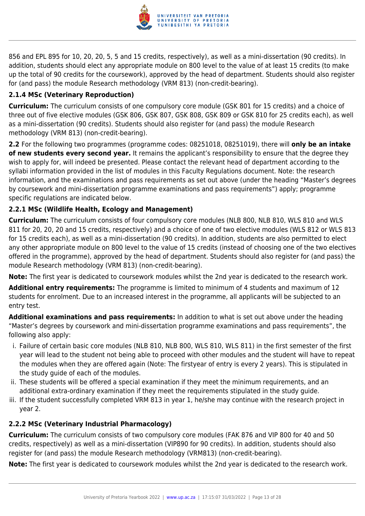

856 and EPL 895 for 10, 20, 20, 5, 5 and 15 credits, respectively), as well as a mini-dissertation (90 credits). In addition, students should elect any appropriate module on 800 level to the value of at least 15 credits (to make up the total of 90 credits for the coursework), approved by the head of department. Students should also register for (and pass) the module Research methodology (VRM 813) (non-credit-bearing).

# **2.1.4 MSc (Veterinary Reproduction)**

**Curriculum:** The curriculum consists of one compulsory core module (GSK 801 for 15 credits) and a choice of three out of five elective modules (GSK 806, GSK 807, GSK 808, GSK 809 or GSK 810 for 25 credits each), as well as a mini-dissertation (90 credits). Students should also register for (and pass) the module Research methodology (VRM 813) (non-credit-bearing).

**2.2** For the following two programmes (programme codes: 08251018, 08251019), there will **only be an intake of new students every second year.** It remains the applicant's responsibility to ensure that the degree they wish to apply for, will indeed be presented. Please contact the relevant head of department according to the syllabi information provided in the list of modules in this Faculty Regulations document. Note: the research information, and the examinations and pass requirements as set out above (under the heading "Master's degrees by coursework and mini-dissertation programme examinations and pass requirements") apply; programme specific regulations are indicated below.

# **2.2.1 MSc (Wildlife Health, Ecology and Management)**

**Curriculum:** The curriculum consists of four compulsory core modules (NLB 800, NLB 810, WLS 810 and WLS 811 for 20, 20, 20 and 15 credits, respectively) and a choice of one of two elective modules (WLS 812 or WLS 813 for 15 credits each), as well as a mini-dissertation (90 credits). In addition, students are also permitted to elect any other appropriate module on 800 level to the value of 15 credits (instead of choosing one of the two electives offered in the programme), approved by the head of department. Students should also register for (and pass) the module Research methodology (VRM 813) (non-credit-bearing).

**Note:** The first year is dedicated to coursework modules whilst the 2nd year is dedicated to the research work.

**Additional entry requirements:** The programme is limited to minimum of 4 students and maximum of 12 students for enrolment. Due to an increased interest in the programme, all applicants will be subjected to an entry test.

**Additional examinations and pass requirements:** In addition to what is set out above under the heading "Master's degrees by coursework and mini-dissertation programme examinations and pass requirements", the following also apply:

- i. Failure of certain basic core modules (NLB 810, NLB 800, WLS 810, WLS 811) in the first semester of the first year will lead to the student not being able to proceed with other modules and the student will have to repeat the modules when they are offered again (Note: The firstyear of entry is every 2 years). This is stipulated in the study guide of each of the modules.
- ii. These students will be offered a special examination if they meet the minimum requirements, and an additional extra-ordinary examination if they meet the requirements stipulated in the study guide.
- iii. If the student successfully completed VRM 813 in year 1, he/she may continue with the research project in year 2.

# **2.2.2 MSc (Veterinary Industrial Pharmacology)**

**Curriculum:** The curriculum consists of two compulsory core modules (FAK 876 and VIP 800 for 40 and 50 credits, respectively) as well as a mini-dissertation (VIP890 for 90 credits). In addition, students should also register for (and pass) the module Research methodology (VRM813) (non-credit-bearing).

**Note:** The first year is dedicated to coursework modules whilst the 2nd year is dedicated to the research work.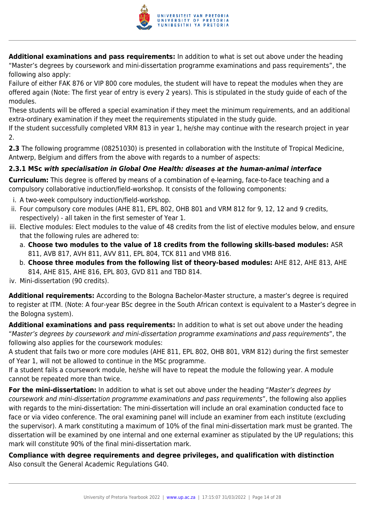

**Additional examinations and pass requirements:** In addition to what is set out above under the heading "Master's degrees by coursework and mini-dissertation programme examinations and pass requirements", the following also apply:

Failure of either FAK 876 or VIP 800 core modules, the student will have to repeat the modules when they are offered again (Note: The first year of entry is every 2 years). This is stipulated in the study guide of each of the modules.

These students will be offered a special examination if they meet the minimum requirements, and an additional extra-ordinary examination if they meet the requirements stipulated in the study guide.

If the student successfully completed VRM 813 in year 1, he/she may continue with the research project in year 2.

**2.3** The following programme (08251030) is presented in collaboration with the Institute of Tropical Medicine, Antwerp, Belgium and differs from the above with regards to a number of aspects:

# **2.3.1 MSc** *with specialisation in Global One Health: diseases at the human-animal interface*

**Curriculum:** This degree is offered by means of a combination of e-learning, face-to-face teaching and a compulsory collaborative induction/field-workshop. It consists of the following components:

- i. A two-week compulsory induction/field-workshop.
- ii. Four compulsory core modules (AHE 811, EPL 802, OHB 801 and VRM 812 for 9, 12, 12 and 9 credits, respectively) - all taken in the first semester of Year 1.
- iii. Elective modules: Elect modules to the value of 48 credits from the list of elective modules below, and ensure that the following rules are adhered to:
	- a. **Choose two modules to the value of 18 credits from the following skills-based modules:** ASR 811, AVB 817, AVH 811, AVV 811, EPL 804, TCK 811 and VMB 816.
	- b. **Choose three modules from the following list of theory-based modules:** AHE 812, AHE 813, AHE 814, AHE 815, AHE 816, EPL 803, GVD 811 and TBD 814.

iv. Mini-dissertation (90 credits).

**Additional requirements:** According to the Bologna Bachelor-Master structure, a master's degree is required to register at ITM. (Note: A four-year BSc degree in the South African context is equivalent to a Master's degree in the Bologna system).

**Additional examinations and pass requirements:** In addition to what is set out above under the heading "Master's degrees by coursework and mini-dissertation programme examinations and pass requirements", the following also applies for the coursework modules:

A student that fails two or more core modules (AHE 811, EPL 802, OHB 801, VRM 812) during the first semester of Year 1, will not be allowed to continue in the MSc programme.

If a student fails a coursework module, he/she will have to repeat the module the following year. A module cannot be repeated more than twice.

**For the mini-dissertation:** In addition to what is set out above under the heading "Master's degrees by coursework and mini-dissertation programme examinations and pass requirements", the following also applies with regards to the mini-dissertation: The mini-dissertation will include an oral examination conducted face to face or via video conference. The oral examining panel will include an examiner from each institute (excluding the supervisor). A mark constituting a maximum of 10% of the final mini-dissertation mark must be granted. The dissertation will be examined by one internal and one external examiner as stipulated by the UP regulations; this mark will constitute 90% of the final mini-dissertation mark.

**Compliance with degree requirements and degree privileges, and qualification with distinction** Also consult the General Academic Regulations G40.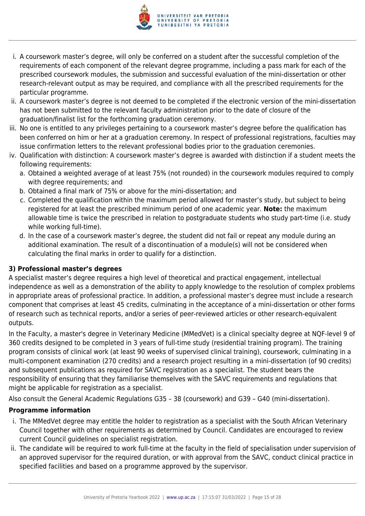

- i. A coursework master's degree, will only be conferred on a student after the successful completion of the requirements of each component of the relevant degree programme, including a pass mark for each of the prescribed coursework modules, the submission and successful evaluation of the mini-dissertation or other research-relevant output as may be required, and compliance with all the prescribed requirements for the particular programme.
- ii. A coursework master's degree is not deemed to be completed if the electronic version of the mini-dissertation has not been submitted to the relevant faculty administration prior to the date of closure of the graduation/finalist list for the forthcoming graduation ceremony.
- iii. No one is entitled to any privileges pertaining to a coursework master's degree before the qualification has been conferred on him or her at a graduation ceremony. In respect of professional registrations, faculties may issue confirmation letters to the relevant professional bodies prior to the graduation ceremonies.
- iv. Qualification with distinction: A coursework master's degree is awarded with distinction if a student meets the following requirements:
	- a. Obtained a weighted average of at least 75% (not rounded) in the coursework modules required to comply with degree requirements; and
	- b. Obtained a final mark of 75% or above for the mini-dissertation; and
	- c. Completed the qualification within the maximum period allowed for master's study, but subject to being registered for at least the prescribed minimum period of one academic year. **Note:** the maximum allowable time is twice the prescribed in relation to postgraduate students who study part-time (i.e. study while working full-time).
	- d. In the case of a coursework master's degree, the student did not fail or repeat any module during an additional examination. The result of a discontinuation of a module(s) will not be considered when calculating the final marks in order to qualify for a distinction.

# **3) Professional master's degrees**

A specialist master's degree requires a high level of theoretical and practical engagement, intellectual independence as well as a demonstration of the ability to apply knowledge to the resolution of complex problems in appropriate areas of professional practice. In addition, a professional master's degree must include a research component that comprises at least 45 credits, culminating in the acceptance of a mini-dissertation or other forms of research such as technical reports, and/or a series of peer-reviewed articles or other research-equivalent outputs.

In the Faculty, a master's degree in Veterinary Medicine (MMedVet) is a clinical specialty degree at NQF-level 9 of 360 credits designed to be completed in 3 years of full-time study (residential training program). The training program consists of clinical work (at least 90 weeks of supervised clinical training), coursework, culminating in a multi-component examination (270 credits) and a research project resulting in a mini-dissertation (of 90 credits) and subsequent publications as required for SAVC registration as a specialist. The student bears the responsibility of ensuring that they familiarise themselves with the SAVC requirements and regulations that might be applicable for registration as a specialist.

Also consult the General Academic Regulations G35 – 38 (coursework) and G39 – G40 (mini-dissertation).

# **Programme information**

- i. The MMedVet degree may entitle the holder to registration as a specialist with the South African Veterinary Council together with other requirements as determined by Council. Candidates are encouraged to review current Council guidelines on specialist registration.
- ii. The candidate will be required to work full-time at the faculty in the field of specialisation under supervision of an approved supervisor for the required duration, or with approval from the SAVC, conduct clinical practice in specified facilities and based on a programme approved by the supervisor.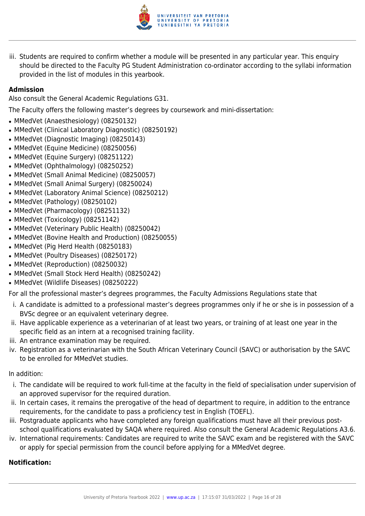

iii. Students are required to confirm whether a module will be presented in any particular year. This enquiry should be directed to the Faculty PG Student Administration co-ordinator according to the syllabi information provided in the list of modules in this yearbook.

# **Admission**

Also consult the General Academic Regulations G31.

The Faculty offers the following master's degrees by coursework and mini-dissertation:

- MMedVet (Anaesthesiology) (08250132)
- MMedVet (Clinical Laboratory Diagnostic) (08250192)
- MMedVet (Diagnostic Imaging) (08250143)
- MMedVet (Equine Medicine) (08250056)
- MMedVet (Equine Surgery) (08251122)
- MMedVet (Ophthalmology) (08250252)
- MMedVet (Small Animal Medicine) (08250057)
- MMedVet (Small Animal Surgery) (08250024)
- MMedVet (Laboratory Animal Science) (08250212)
- MMedVet (Pathology) (08250102)
- MMedVet (Pharmacology) (08251132)
- MMedVet (Toxicology) (08251142)
- MMedVet (Veterinary Public Health) (08250042)
- MMedVet (Bovine Health and Production) (08250055)
- MMedVet (Pig Herd Health (08250183)
- MMedVet (Poultry Diseases) (08250172)
- MMedVet (Reproduction) (08250032)
- MMedVet (Small Stock Herd Health) (08250242)
- MMedVet (Wildlife Diseases) (08250222)

For all the professional master's degrees programmes, the Faculty Admissions Regulations state that

- i. A candidate is admitted to a professional master's degrees programmes only if he or she is in possession of a BVSc degree or an equivalent veterinary degree.
- ii. Have applicable experience as a veterinarian of at least two years, or training of at least one year in the specific field as an intern at a recognised training facility.
- iii. An entrance examination may be required.
- iv. Registration as a veterinarian with the South African Veterinary Council (SAVC) or authorisation by the SAVC to be enrolled for MMedVet studies.

In addition:

- i. The candidate will be required to work full-time at the faculty in the field of specialisation under supervision of an approved supervisor for the required duration.
- ii. In certain cases, it remains the prerogative of the head of department to require, in addition to the entrance requirements, for the candidate to pass a proficiency test in English (TOEFL).
- iii. Postgraduate applicants who have completed any foreign qualifications must have all their previous postschool qualifications evaluated by SAQA where required. Also consult the General Academic Regulations A3.6.
- iv. International requirements: Candidates are required to write the SAVC exam and be registered with the SAVC or apply for special permission from the council before applying for a MMedVet degree.

# **Notification:**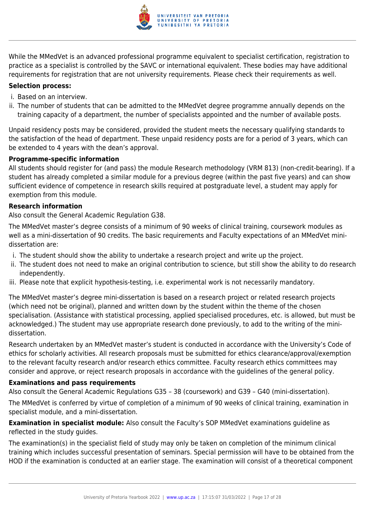

While the MMedVet is an advanced professional programme equivalent to specialist certification, registration to practice as a specialist is controlled by the SAVC or international equivalent. These bodies may have additional requirements for registration that are not university requirements. Please check their requirements as well.

# **Selection process:**

- i. Based on an interview.
- ii. The number of students that can be admitted to the MMedVet degree programme annually depends on the training capacity of a department, the number of specialists appointed and the number of available posts.

Unpaid residency posts may be considered, provided the student meets the necessary qualifying standards to the satisfaction of the head of department. These unpaid residency posts are for a period of 3 years, which can be extended to 4 years with the dean's approval.

# **Programme-specific information**

All students should register for (and pass) the module Research methodology (VRM 813) (non-credit-bearing). If a student has already completed a similar module for a previous degree (within the past five years) and can show sufficient evidence of competence in research skills required at postgraduate level, a student may apply for exemption from this module.

# **Research information**

Also consult the General Academic Regulation G38.

The MMedVet master's degree consists of a minimum of 90 weeks of clinical training, coursework modules as well as a mini-dissertation of 90 credits. The basic requirements and Faculty expectations of an MMedVet minidissertation are:

- i. The student should show the ability to undertake a research project and write up the project.
- ii. The student does not need to make an original contribution to science, but still show the ability to do research independently.
- iii. Please note that explicit hypothesis-testing, i.e. experimental work is not necessarily mandatory.

The MMedVet master's degree mini-dissertation is based on a research project or related research projects (which need not be original), planned and written down by the student within the theme of the chosen specialisation. (Assistance with statistical processing, applied specialised procedures, etc. is allowed, but must be acknowledged.) The student may use appropriate research done previously, to add to the writing of the minidissertation.

Research undertaken by an MMedVet master's student is conducted in accordance with the University's Code of ethics for scholarly activities. All research proposals must be submitted for ethics clearance/approval/exemption to the relevant faculty research and/or research ethics committee. Faculty research ethics committees may consider and approve, or reject research proposals in accordance with the guidelines of the general policy.

# **Examinations and pass requirements**

Also consult the General Academic Regulations G35 – 38 (coursework) and G39 – G40 (mini-dissertation).

The MMedVet is conferred by virtue of completion of a minimum of 90 weeks of clinical training, examination in specialist module, and a mini-dissertation.

**Examination in specialist module:** Also consult the Faculty's SOP MMedVet examinations guideline as reflected in the study guides.

The examination(s) in the specialist field of study may only be taken on completion of the minimum clinical training which includes successful presentation of seminars. Special permission will have to be obtained from the HOD if the examination is conducted at an earlier stage. The examination will consist of a theoretical component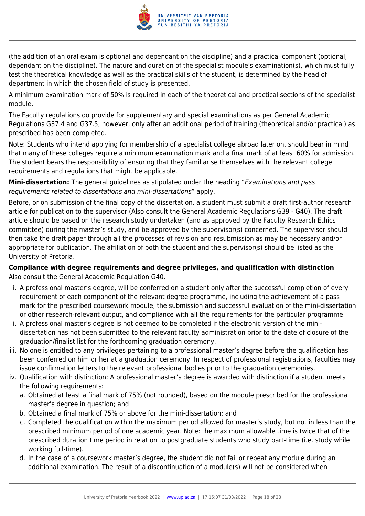

(the addition of an oral exam is optional and dependant on the discipline) and a practical component (optional; dependant on the discipline). The nature and duration of the specialist module's examination(s), which must fully test the theoretical knowledge as well as the practical skills of the student, is determined by the head of department in which the chosen field of study is presented.

A minimum examination mark of 50% is required in each of the theoretical and practical sections of the specialist module.

The Faculty regulations do provide for supplementary and special examinations as per General Academic Regulations G37.4 and G37.5; however, only after an additional period of training (theoretical and/or practical) as prescribed has been completed.

Note: Students who intend applying for membership of a specialist college abroad later on, should bear in mind that many of these colleges require a minimum examination mark and a final mark of at least 60% for admission. The student bears the responsibility of ensuring that they familiarise themselves with the relevant college requirements and regulations that might be applicable.

**Mini-dissertation:** The general guidelines as stipulated under the heading "Examinations and pass requirements related to dissertations and mini-dissertations" apply.

Before, or on submission of the final copy of the dissertation, a student must submit a draft first-author research article for publication to the supervisor (Also consult the General Academic Regulations G39 - G40). The draft article should be based on the research study undertaken (and as approved by the Faculty Research Ethics committee) during the master's study, and be approved by the supervisor(s) concerned. The supervisor should then take the draft paper through all the processes of revision and resubmission as may be necessary and/or appropriate for publication. The affiliation of both the student and the supervisor(s) should be listed as the University of Pretoria.

# **Compliance with degree requirements and degree privileges, and qualification with distinction** Also consult the General Academic Regulation G40.

- i. A professional master's degree, will be conferred on a student only after the successful completion of every requirement of each component of the relevant degree programme, including the achievement of a pass mark for the prescribed coursework module, the submission and successful evaluation of the mini-dissertation or other research-relevant output, and compliance with all the requirements for the particular programme.
- ii. A professional master's degree is not deemed to be completed if the electronic version of the minidissertation has not been submitted to the relevant faculty administration prior to the date of closure of the graduation/finalist list for the forthcoming graduation ceremony.
- iii. No one is entitled to any privileges pertaining to a professional master's degree before the qualification has been conferred on him or her at a graduation ceremony. In respect of professional registrations, faculties may issue confirmation letters to the relevant professional bodies prior to the graduation ceremonies.
- iv. Qualification with distinction: A professional master's degree is awarded with distinction if a student meets the following requirements:
	- a. Obtained at least a final mark of 75% (not rounded), based on the module prescribed for the professional master's degree in question; and
	- b. Obtained a final mark of 75% or above for the mini-dissertation; and
	- c. Completed the qualification within the maximum period allowed for master's study, but not in less than the prescribed minimum period of one academic year. Note: the maximum allowable time is twice that of the prescribed duration time period in relation to postgraduate students who study part-time (i.e. study while working full-time).
	- d. In the case of a coursework master's degree, the student did not fail or repeat any module during an additional examination. The result of a discontinuation of a module(s) will not be considered when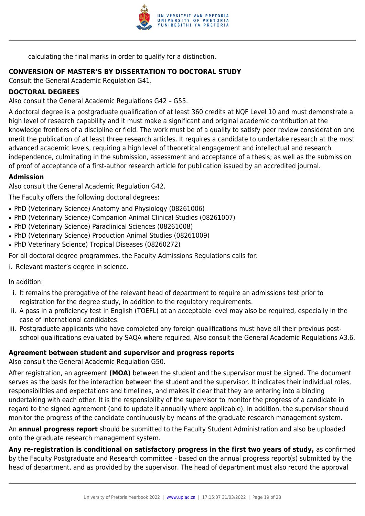

calculating the final marks in order to qualify for a distinction.

# **CONVERSION OF MASTER'S BY DISSERTATION TO DOCTORAL STUDY**

Consult the General Academic Regulation G41.

# **DOCTORAL DEGREES**

Also consult the General Academic Regulations G42 – G55.

A doctoral degree is a postgraduate qualification of at least 360 credits at NQF Level 10 and must demonstrate a high level of research capability and it must make a significant and original academic contribution at the knowledge frontiers of a discipline or field. The work must be of a quality to satisfy peer review consideration and merit the publication of at least three research articles. It requires a candidate to undertake research at the most advanced academic levels, requiring a high level of theoretical engagement and intellectual and research independence, culminating in the submission, assessment and acceptance of a thesis; as well as the submission of proof of acceptance of a first-author research article for publication issued by an accredited journal.

# **Admission**

Also consult the General Academic Regulation G42.

The Faculty offers the following doctoral degrees:

- PhD (Veterinary Science) Anatomy and Physiology (08261006)
- PhD (Veterinary Science) Companion Animal Clinical Studies (08261007)
- PhD (Veterinary Science) Paraclinical Sciences (08261008)
- PhD (Veterinary Science) Production Animal Studies (08261009)
- PhD Veterinary Science) Tropical Diseases (08260272)

For all doctoral degree programmes, the Faculty Admissions Regulations calls for:

i. Relevant master's degree in science.

In addition:

- i. It remains the prerogative of the relevant head of department to require an admissions test prior to registration for the degree study, in addition to the regulatory requirements.
- ii. A pass in a proficiency test in English (TOEFL) at an acceptable level may also be required, especially in the case of international candidates.
- iii. Postgraduate applicants who have completed any foreign qualifications must have all their previous postschool qualifications evaluated by SAQA where required. Also consult the General Academic Regulations A3.6.

# **Agreement between student and supervisor and progress reports**

Also consult the General Academic Regulation G50.

After registration, an agreement **(MOA)** between the student and the supervisor must be signed. The document serves as the basis for the interaction between the student and the supervisor. It indicates their individual roles, responsibilities and expectations and timelines, and makes it clear that they are entering into a binding undertaking with each other. It is the responsibility of the supervisor to monitor the progress of a candidate in regard to the signed agreement (and to update it annually where applicable). In addition, the supervisor should monitor the progress of the candidate continuously by means of the graduate research management system.

An **annual progress report** should be submitted to the Faculty Student Administration and also be uploaded onto the graduate research management system.

**Any re-registration is conditional on satisfactory progress in the first two years of study,** as confirmed by the Faculty Postgraduate and Research committee - based on the annual progress report(s) submitted by the head of department, and as provided by the supervisor. The head of department must also record the approval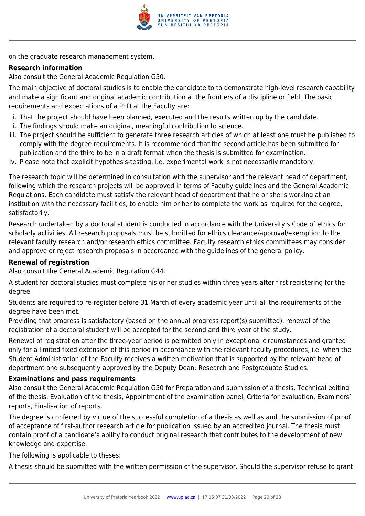

on the graduate research management system.

# **Research information**

Also consult the General Academic Regulation G50.

The main objective of doctoral studies is to enable the candidate to to demonstrate high-level research capability and make a significant and original academic contribution at the frontiers of a discipline or field. The basic requirements and expectations of a PhD at the Faculty are:

- i. That the project should have been planned, executed and the results written up by the candidate.
- ii. The findings should make an original, meaningful contribution to science.
- iii. The project should be sufficient to generate three research articles of which at least one must be published to comply with the degree requirements. It is recommended that the second article has been submitted for publication and the third to be in a draft format when the thesis is submitted for examination.
- iv. Please note that explicit hypothesis-testing, i.e. experimental work is not necessarily mandatory.

The research topic will be determined in consultation with the supervisor and the relevant head of department, following which the research projects will be approved in terms of Faculty guidelines and the General Academic Regulations. Each candidate must satisfy the relevant head of department that he or she is working at an institution with the necessary facilities, to enable him or her to complete the work as required for the degree, satisfactorily.

Research undertaken by a doctoral student is conducted in accordance with the University's Code of ethics for scholarly activities. All research proposals must be submitted for ethics clearance/approval/exemption to the relevant faculty research and/or research ethics committee. Faculty research ethics committees may consider and approve or reject research proposals in accordance with the guidelines of the general policy.

# **Renewal of registration**

Also consult the General Academic Regulation G44.

A student for doctoral studies must complete his or her studies within three years after first registering for the degree.

Students are required to re-register before 31 March of every academic year until all the requirements of the degree have been met.

Providing that progress is satisfactory (based on the annual progress report(s) submitted), renewal of the registration of a doctoral student will be accepted for the second and third year of the study.

Renewal of registration after the three-year period is permitted only in exceptional circumstances and granted only for a limited fixed extension of this period in accordance with the relevant faculty procedures, i.e. when the Student Administration of the Faculty receives a written motivation that is supported by the relevant head of department and subsequently approved by the Deputy Dean: Research and Postgraduate Studies.

# **Examinations and pass requirements**

Also consult the General Academic Regulation G50 for Preparation and submission of a thesis, Technical editing of the thesis, Evaluation of the thesis, Appointment of the examination panel, Criteria for evaluation, Examiners' reports, Finalisation of reports.

The degree is conferred by virtue of the successful completion of a thesis as well as and the submission of proof of acceptance of first-author research article for publication issued by an accredited journal. The thesis must contain proof of a candidate's ability to conduct original research that contributes to the development of new knowledge and expertise.

The following is applicable to theses:

A thesis should be submitted with the written permission of the supervisor. Should the supervisor refuse to grant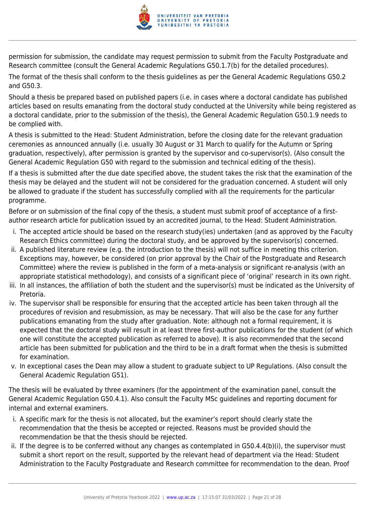

permission for submission, the candidate may request permission to submit from the Faculty Postgraduate and Research committee (consult the General Academic Regulations G50.1.7(b) for the detailed procedures).

The format of the thesis shall conform to the thesis guidelines as per the General Academic Regulations G50.2 and G50.3.

Should a thesis be prepared based on published papers (i.e. in cases where a doctoral candidate has published articles based on results emanating from the doctoral study conducted at the University while being registered as a doctoral candidate, prior to the submission of the thesis), the General Academic Regulation G50.1.9 needs to be complied with.

A thesis is submitted to the Head: Student Administration, before the closing date for the relevant graduation ceremonies as announced annually (i.e. usually 30 August or 31 March to qualify for the Autumn or Spring graduation, respectively), after permission is granted by the supervisor and co-supervisor(s). (Also consult the General Academic Regulation G50 with regard to the submission and technical editing of the thesis).

If a thesis is submitted after the due date specified above, the student takes the risk that the examination of the thesis may be delayed and the student will not be considered for the graduation concerned. A student will only be allowed to graduate if the student has successfully complied with all the requirements for the particular programme.

Before or on submission of the final copy of the thesis, a student must submit proof of acceptance of a firstauthor research article for publication issued by an accredited journal, to the Head: Student Administration.

- i. The accepted article should be based on the research study(ies) undertaken (and as approved by the Faculty Research Ethics committee) during the doctoral study, and be approved by the supervisor(s) concerned.
- ii. A published literature review (e.g. the introduction to the thesis) will not suffice in meeting this criterion. Exceptions may, however, be considered (on prior approval by the Chair of the Postgraduate and Research Committee) where the review is published in the form of a meta-analysis or significant re-analysis (with an appropriate statistical methodology), and consists of a significant piece of 'original' research in its own right.
- iii. In all instances, the affiliation of both the student and the supervisor(s) must be indicated as the University of Pretoria.
- iv. The supervisor shall be responsible for ensuring that the accepted article has been taken through all the procedures of revision and resubmission, as may be necessary. That will also be the case for any further publications emanating from the study after graduation. Note: although not a formal requirement, it is expected that the doctoral study will result in at least three first-author publications for the student (of which one will constitute the accepted publication as referred to above). It is also recommended that the second article has been submitted for publication and the third to be in a draft format when the thesis is submitted for examination.
- v. In exceptional cases the Dean may allow a student to graduate subject to UP Regulations. (Also consult the General Academic Regulation G51).

The thesis will be evaluated by three examiners (for the appointment of the examination panel, consult the General Academic Regulation G50.4.1). Also consult the Faculty MSc guidelines and reporting document for internal and external examiners.

- i. A specific mark for the thesis is not allocated, but the examiner's report should clearly state the recommendation that the thesis be accepted or rejected. Reasons must be provided should the recommendation be that the thesis should be rejected.
- ii. If the degree is to be conferred without any changes as contemplated in G50.4.4(b)(i), the supervisor must submit a short report on the result, supported by the relevant head of department via the Head: Student Administration to the Faculty Postgraduate and Research committee for recommendation to the dean. Proof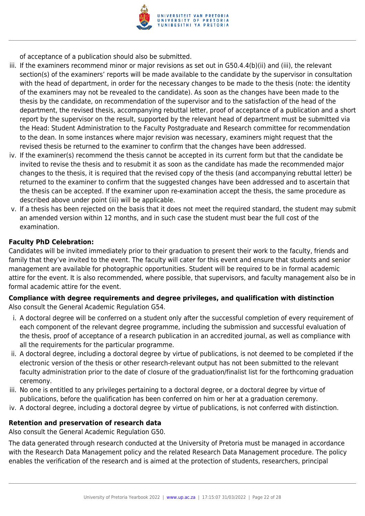

of acceptance of a publication should also be submitted.

- iii. If the examiners recommend minor or major revisions as set out in G50.4.4(b)(ii) and (iii), the relevant section(s) of the examiners' reports will be made available to the candidate by the supervisor in consultation with the head of department, in order for the necessary changes to be made to the thesis (note: the identity of the examiners may not be revealed to the candidate). As soon as the changes have been made to the thesis by the candidate, on recommendation of the supervisor and to the satisfaction of the head of the department, the revised thesis, accompanying rebuttal letter, proof of acceptance of a publication and a short report by the supervisor on the result, supported by the relevant head of department must be submitted via the Head: Student Administration to the Faculty Postgraduate and Research committee for recommendation to the dean. In some instances where major revision was necessary, examiners might request that the revised thesis be returned to the examiner to confirm that the changes have been addressed.
- iv. If the examiner(s) recommend the thesis cannot be accepted in its current form but that the candidate be invited to revise the thesis and to resubmit it as soon as the candidate has made the recommended major changes to the thesis, it is required that the revised copy of the thesis (and accompanying rebuttal letter) be returned to the examiner to confirm that the suggested changes have been addressed and to ascertain that the thesis can be accepted. If the examiner upon re-examination accept the thesis, the same procedure as described above under point (iii) will be applicable.
- v. If a thesis has been rejected on the basis that it does not meet the required standard, the student may submit an amended version within 12 months, and in such case the student must bear the full cost of the examination.

# **Faculty PhD Celebration:**

Candidates will be invited immediately prior to their graduation to present their work to the faculty, friends and family that they've invited to the event. The faculty will cater for this event and ensure that students and senior management are available for photographic opportunities. Student will be required to be in formal academic attire for the event. It is also recommended, where possible, that supervisors, and faculty management also be in formal academic attire for the event.

# **Compliance with degree requirements and degree privileges, and qualification with distinction** Also consult the General Academic Regulation G54.

- i. A doctoral degree will be conferred on a student only after the successful completion of every requirement of each component of the relevant degree programme, including the submission and successful evaluation of the thesis, proof of acceptance of a research publication in an accredited journal, as well as compliance with all the requirements for the particular programme.
- ii. A doctoral degree, including a doctoral degree by virtue of publications, is not deemed to be completed if the electronic version of the thesis or other research-relevant output has not been submitted to the relevant faculty administration prior to the date of closure of the graduation/finalist list for the forthcoming graduation ceremony.
- iii. No one is entitled to any privileges pertaining to a doctoral degree, or a doctoral degree by virtue of publications, before the qualification has been conferred on him or her at a graduation ceremony.
- iv. A doctoral degree, including a doctoral degree by virtue of publications, is not conferred with distinction.

# **Retention and preservation of research data**

Also consult the General Academic Regulation G50.

The data generated through research conducted at the University of Pretoria must be managed in accordance with the Research Data Management policy and the related Research Data Management procedure. The policy enables the verification of the research and is aimed at the protection of students, researchers, principal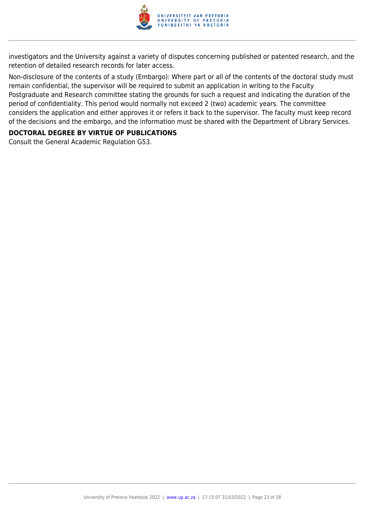

investigators and the University against a variety of disputes concerning published or patented research, and the retention of detailed research records for later access.

Non-disclosure of the contents of a study (Embargo): Where part or all of the contents of the doctoral study must remain confidential, the supervisor will be required to submit an application in writing to the Faculty Postgraduate and Research committee stating the grounds for such a request and indicating the duration of the period of confidentiality. This period would normally not exceed 2 (two) academic years. The committee considers the application and either approves it or refers it back to the supervisor. The faculty must keep record of the decisions and the embargo, and the information must be shared with the Department of Library Services.

# **DOCTORAL DEGREE BY VIRTUE OF PUBLICATIONS**

Consult the General Academic Regulation G53.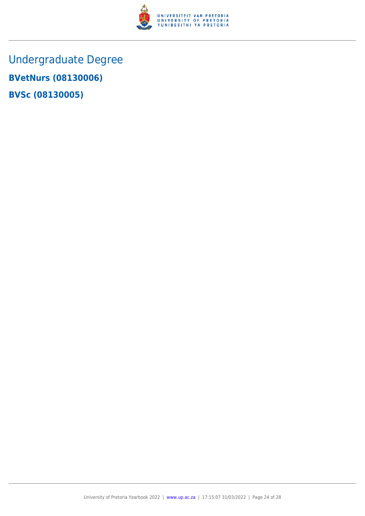

Undergraduate Degree **BVetNurs (08130006) BVSc (08130005)**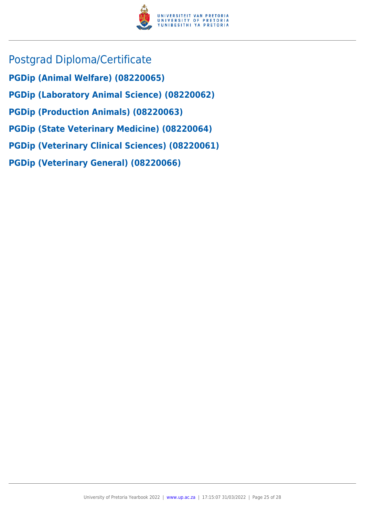

- Postgrad Diploma/Certificate
- **PGDip (Animal Welfare) (08220065)**
- **PGDip (Laboratory Animal Science) (08220062)**
- **PGDip (Production Animals) (08220063)**
- **PGDip (State Veterinary Medicine) (08220064)**
- **PGDip (Veterinary Clinical Sciences) (08220061)**
- **PGDip (Veterinary General) (08220066)**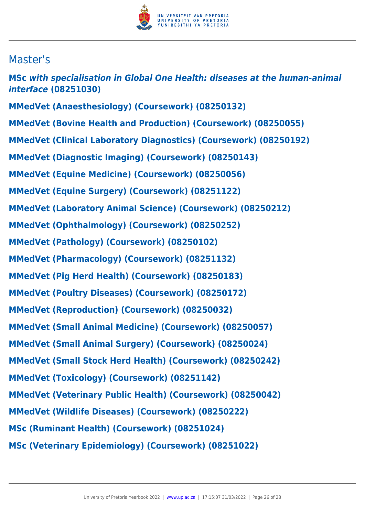

# Master's

**MSc** *with specialisation in Global One Health: diseases at the human-animal interface* **(08251030) MMedVet (Anaesthesiology) (Coursework) (08250132) MMedVet (Bovine Health and Production) (Coursework) (08250055) MMedVet (Clinical Laboratory Diagnostics) (Coursework) (08250192) MMedVet (Diagnostic Imaging) (Coursework) (08250143) MMedVet (Equine Medicine) (Coursework) (08250056) MMedVet (Equine Surgery) (Coursework) (08251122) MMedVet (Laboratory Animal Science) (Coursework) (08250212) MMedVet (Ophthalmology) (Coursework) (08250252) MMedVet (Pathology) (Coursework) (08250102) MMedVet (Pharmacology) (Coursework) (08251132) MMedVet (Pig Herd Health) (Coursework) (08250183) MMedVet (Poultry Diseases) (Coursework) (08250172) MMedVet (Reproduction) (Coursework) (08250032) MMedVet (Small Animal Medicine) (Coursework) (08250057) MMedVet (Small Animal Surgery) (Coursework) (08250024) MMedVet (Small Stock Herd Health) (Coursework) (08250242) MMedVet (Toxicology) (Coursework) (08251142) MMedVet (Veterinary Public Health) (Coursework) (08250042) MMedVet (Wildlife Diseases) (Coursework) (08250222) MSc (Ruminant Health) (Coursework) (08251024) MSc (Veterinary Epidemiology) (Coursework) (08251022)**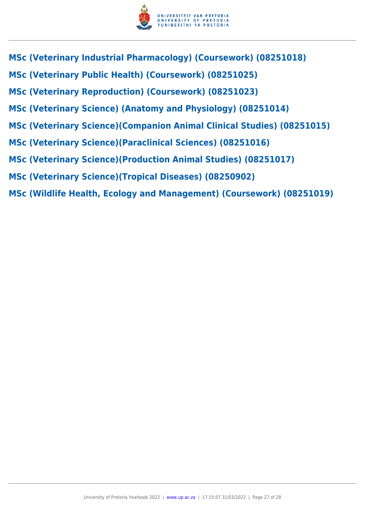

- **MSc (Veterinary Industrial Pharmacology) (Coursework) (08251018)**
- **MSc (Veterinary Public Health) (Coursework) (08251025)**
- **MSc (Veterinary Reproduction) (Coursework) (08251023)**
- **MSc (Veterinary Science) (Anatomy and Physiology) (08251014)**
- **MSc (Veterinary Science)(Companion Animal Clinical Studies) (08251015)**
- **MSc (Veterinary Science)(Paraclinical Sciences) (08251016)**
- **MSc (Veterinary Science)(Production Animal Studies) (08251017)**
- **MSc (Veterinary Science)(Tropical Diseases) (08250902)**
- **MSc (Wildlife Health, Ecology and Management) (Coursework) (08251019)**